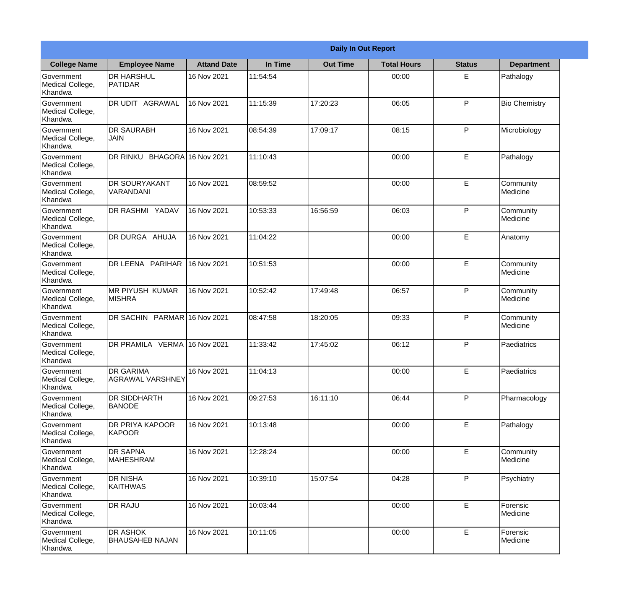|                                                  | <b>Daily In Out Report</b>                |                     |          |                 |                    |               |                       |  |  |
|--------------------------------------------------|-------------------------------------------|---------------------|----------|-----------------|--------------------|---------------|-----------------------|--|--|
| <b>College Name</b>                              | <b>Employee Name</b>                      | <b>Attand Date</b>  | In Time  | <b>Out Time</b> | <b>Total Hours</b> | <b>Status</b> | <b>Department</b>     |  |  |
| Government<br>Medical College,<br>Khandwa        | <b>DR HARSHUL</b><br>PATIDAR              | 16 Nov 2021         | 11:54:54 |                 | 00:00              | E.            | Pathalogy             |  |  |
| Government<br>Medical College,<br>Khandwa        | <b>DR UDIT AGRAWAL</b>                    | 16 Nov 2021         | 11:15:39 | 17:20:23        | 06:05              | P             | <b>Bio Chemistry</b>  |  |  |
| <b>Government</b><br>Medical College,<br>Khandwa | <b>DR SAURABH</b><br><b>JAIN</b>          | 16 Nov 2021         | 08:54:39 | 17:09:17        | 08:15              | P             | Microbiology          |  |  |
| Government<br>Medical College,<br>Khandwa        | DR RINKU                                  | BHAGORA 16 Nov 2021 | 11:10:43 |                 | 00:00              | E             | Pathalogy             |  |  |
| Government<br>Medical College,<br>Khandwa        | <b>DR SOURYAKANT</b><br>VARANDANI         | 16 Nov 2021         | 08:59:52 |                 | 00:00              | E             | Community<br>Medicine |  |  |
| Government<br>Medical College,<br>Khandwa        | <b>DR RASHMI YADAV</b>                    | 16 Nov 2021         | 10:53:33 | 16:56:59        | 06:03              | P             | Community<br>Medicine |  |  |
| Government<br>Medical College,<br>Khandwa        | DR DURGA AHUJA                            | 16 Nov 2021         | 11:04:22 |                 | 00:00              | E             | Anatomy               |  |  |
| Government<br>Medical College,<br>Khandwa        | DR LEENA PARIHAR                          | 16 Nov 2021         | 10:51:53 |                 | 00:00              | E             | Community<br>Medicine |  |  |
| Government<br>Medical College,<br>Khandwa        | <b>MR PIYUSH KUMAR</b><br><b>MISHRA</b>   | 16 Nov 2021         | 10:52:42 | 17:49:48        | 06:57              | P             | Community<br>Medicine |  |  |
| Government<br>Medical College,<br>Khandwa        | DR SACHIN PARMAR 16 Nov 2021              |                     | 08:47:58 | 18:20:05        | 09:33              | P             | Community<br>Medicine |  |  |
| Government<br>Medical College,<br>Khandwa        | DR PRAMILA VERMA 16 Nov 2021              |                     | 11:33:42 | 17:45:02        | 06:12              | P             | Paediatrics           |  |  |
| Government<br>Medical College,<br>Khandwa        | <b>IDR GARIMA</b><br>AGRAWAL VARSHNEY     | 16 Nov 2021         | 11:04:13 |                 | 00:00              | E             | Paediatrics           |  |  |
| Government<br>Medical College,<br>Khandwa        | <b>DR SIDDHARTH</b><br><b>BANODE</b>      | 16 Nov 2021         | 09:27:53 | 16:11:10        | 06:44              | P             | Pharmacology          |  |  |
| Government<br>Medical College,<br>Khandwa        | <b>DR PRIYA KAPOOR</b><br><b>KAPOOR</b>   | 16 Nov 2021         | 10:13:48 |                 | 00:00              | E             | Pathalogy             |  |  |
| Government<br>Medical College,<br>Khandwa        | <b>DR SAPNA</b><br><b>MAHESHRAM</b>       | 16 Nov 2021         | 12:28:24 |                 | 00:00              | E             | Community<br>Medicine |  |  |
| Government<br>Medical College,<br>Khandwa        | <b>DR NISHA</b><br><b>KAITHWAS</b>        | 16 Nov 2021         | 10:39:10 | 15:07:54        | 04:28              | P             | Psychiatry            |  |  |
| Government<br>Medical College,<br>Khandwa        | <b>DR RAJU</b>                            | 16 Nov 2021         | 10:03:44 |                 | 00:00              | E             | Forensic<br>Medicine  |  |  |
| Government<br>Medical College,<br>Khandwa        | <b>DR ASHOK</b><br><b>BHAUSAHEB NAJAN</b> | 16 Nov 2021         | 10:11:05 |                 | 00:00              | E             | Forensic<br>Medicine  |  |  |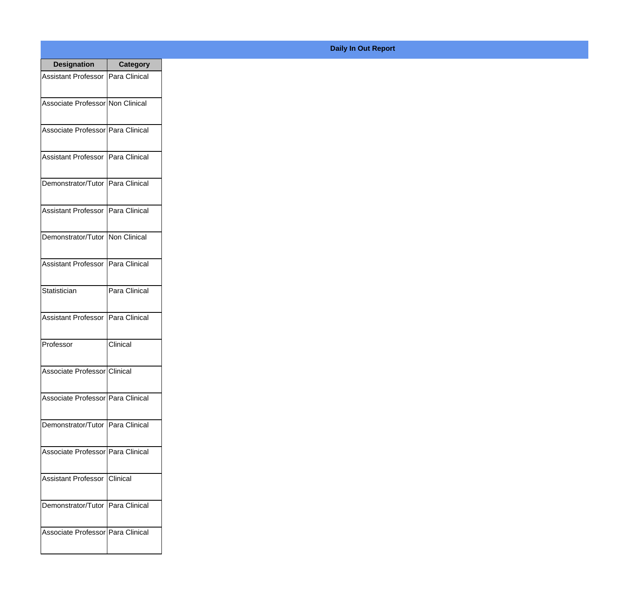| <b>Designation</b>                  | <b>Category</b> |
|-------------------------------------|-----------------|
| Assistant Professor   Para Clinical |                 |
| Associate Professor Non Clinical    |                 |
| Associate Professor Para Clinical   |                 |
| <b>Assistant Professor</b>          | Para Clinical   |
| Demonstrator/Tutor                  | Para Clinical   |
| <b>Assistant Professor</b>          | Para Clinical   |
| Demonstrator/Tutor   Non Clinical   |                 |
| <b>Assistant Professor</b>          | Para Clinical   |
| Statistician                        | Para Clinical   |
| <b>Assistant Professor</b>          | Para Clinical   |
| Professor                           | Clinical        |
| Associate Professor Clinical        |                 |
| Associate Professor   Para Clinical |                 |
| Demonstrator/Tutor   Para Clinical  |                 |
| Associate Professor   Para Clinical |                 |
| <b>Assistant Professor</b>          | Clinical        |
| Demonstrator/Tutor                  | Para Clinical   |
| Associate Professor   Para Clinical |                 |

## **Daily In Out Report**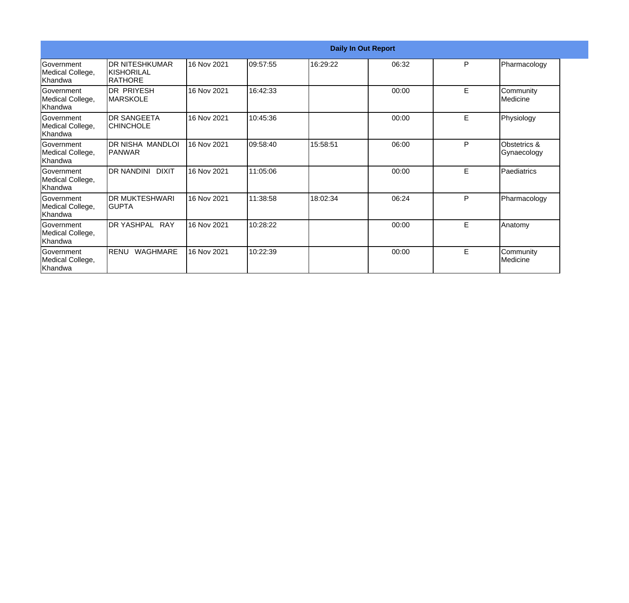| <b>Daily In Out Report</b>                       |                                                        |             |          |          |       |   |                                |
|--------------------------------------------------|--------------------------------------------------------|-------------|----------|----------|-------|---|--------------------------------|
| Government<br>Medical College,<br>Khandwa        | <b>IDR NITESHKUMAR</b><br><b>KISHORILAL</b><br>RATHORE | 16 Nov 2021 | 09:57:55 | 16:29:22 | 06:32 | P | Pharmacology                   |
| <b>Government</b><br>Medical College,<br>Khandwa | <b>DR PRIYESH</b><br><b>IMARSKOLE</b>                  | 16 Nov 2021 | 16:42:33 |          | 00:00 | E | Community<br><b>I</b> Medicine |
| Government<br>Medical College,<br>Khandwa        | <b>DR SANGEETA</b><br><b>CHINCHOLE</b>                 | 16 Nov 2021 | 10:45:36 |          | 00:00 | E | Physiology                     |
| <b>Government</b><br>Medical College,<br>Khandwa | DR NISHA MANDLOI<br>IPANWAR                            | 16 Nov 2021 | 09:58:40 | 15:58:51 | 06:00 | P | Obstetrics &<br>Gynaecology    |
| Government<br>Medical College,<br>Khandwa        | <b>DR NANDINI</b><br><b>DIXIT</b>                      | 16 Nov 2021 | 11:05:06 |          | 00:00 | E | Paediatrics                    |
| Government<br>Medical College,<br>Khandwa        | IDR MUKTESHWARI<br>IGUPTA                              | 16 Nov 2021 | 11:38:58 | 18:02:34 | 06:24 | P | Pharmacology                   |
| <b>Government</b><br>Medical College,<br>Khandwa | DR YASHPAL RAY                                         | 16 Nov 2021 | 10:28:22 |          | 00:00 | E | Anatomy                        |
| Government<br>Medical College,<br>Khandwa        | <b>RENU</b><br><b>WAGHMARE</b>                         | 16 Nov 2021 | 10:22:39 |          | 00:00 | E | Community<br>Medicine          |